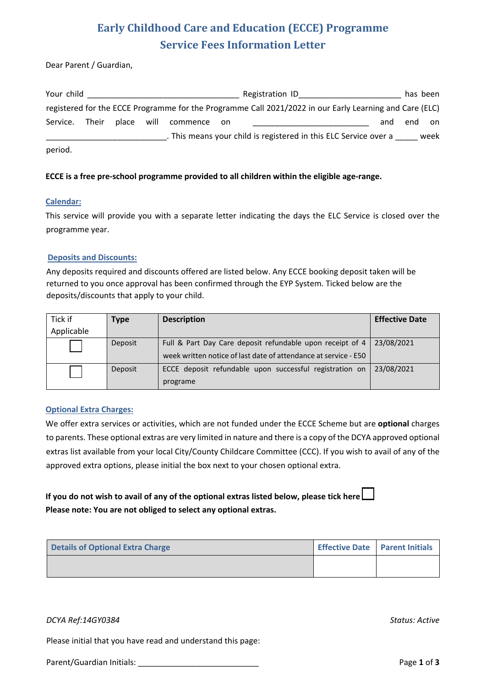# **Early Childhood Care and Education (ECCE) Programme Service Fees Information Letter**

Dear Parent / Guardian,

| Your child |       |            |          |       | Registration ID                                                                                         |     | has been |      |
|------------|-------|------------|----------|-------|---------------------------------------------------------------------------------------------------------|-----|----------|------|
|            |       |            |          |       | registered for the ECCE Programme for the Programme Call 2021/2022 in our Early Learning and Care (ELC) |     |          |      |
| Service.   | Their | place will | commence | on on |                                                                                                         | and | end      | on   |
|            |       |            |          |       | . This means your child is registered in this ELC Service over a                                        |     |          | week |
| period.    |       |            |          |       |                                                                                                         |     |          |      |

### **ECCE is a free pre-school programme provided to all children within the eligible age-range.**

### **Calendar:**

This service will provide you with a separate letter indicating the days the ELC Service is closed over the programme year.

#### **Deposits and Discounts:**

Any deposits required and discounts offered are listed below. Any ECCE booking deposit taken will be returned to you once approval has been confirmed through the EYP System. Ticked below are the deposits/discounts that apply to your child.

| Tick if<br>Applicable | Type    | <b>Description</b>                                                                                                           | <b>Effective Date</b> |
|-----------------------|---------|------------------------------------------------------------------------------------------------------------------------------|-----------------------|
|                       | Deposit | Full & Part Day Care deposit refundable upon receipt of 4<br>week written notice of last date of attendance at service - E50 | 23/08/2021            |
|                       | Deposit | ECCE deposit refundable upon successful registration on<br>programe                                                          | 23/08/2021            |

### **Optional Extra Charges:**

We offer extra services or activities, which are not funded under the ECCE Scheme but are **optional** charges to parents. These optional extras are very limited in nature and there is a copy of the DCYA approved optional extras list available from your local City/County Childcare Committee (CCC). If you wish to avail of any of the approved extra options, please initial the box next to your chosen optional extra.

### **If you do not wish to avail of any of the optional extras listed below, please tick here Please note: You are not obliged to select any optional extras.**

| <b>Details of Optional Extra Charge</b> | Effective Date   Parent Initials |  |
|-----------------------------------------|----------------------------------|--|
|                                         |                                  |  |

### *DCYA Ref:14GY0384 Status: Active*

Please initial that you have read and understand this page:

Parent/Guardian Initials: \_\_\_\_\_\_\_\_\_\_\_\_\_\_\_\_\_\_\_\_\_\_\_\_\_\_\_ Page **1** of **3**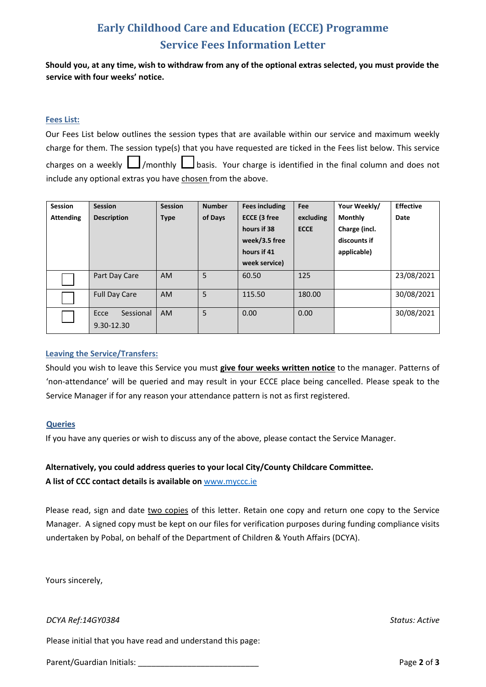# **Early Childhood Care and Education (ECCE) Programme Service Fees Information Letter**

**Should you, at any time, wish to withdraw from any of the optional extras selected, you must provide the service with four weeks' notice.**

### **Fees List:**

| Our Fees List below outlines the session types that are available within our service and maximum weekly      |  |  |  |  |
|--------------------------------------------------------------------------------------------------------------|--|--|--|--|
| charge for them. The session type(s) that you have requested are ticked in the Fees list below. This service |  |  |  |  |
| charges on a weekly $\Box$ /monthly $\Box$ basis. Your charge is identified in the final column and does not |  |  |  |  |
| include any optional extras you have chosen from the above.                                                  |  |  |  |  |

| Session          | <b>Session</b>                  | <b>Session</b> | <b>Number</b> | <b>Fees including</b> | Fee         | Your Weekly/   | <b>Effective</b> |
|------------------|---------------------------------|----------------|---------------|-----------------------|-------------|----------------|------------------|
| <b>Attending</b> | <b>Description</b>              | <b>Type</b>    | of Days       | <b>ECCE (3 free</b>   | excluding   | <b>Monthly</b> | Date             |
|                  |                                 |                |               | hours if 38           | <b>ECCE</b> | Charge (incl.  |                  |
|                  |                                 |                |               | week/3.5 free         |             | discounts if   |                  |
|                  |                                 |                |               | hours if 41           |             | applicable)    |                  |
|                  |                                 |                |               | week service)         |             |                |                  |
|                  | Part Day Care                   | <b>AM</b>      | 5             | 60.50                 | 125         |                | 23/08/2021       |
|                  | <b>Full Day Care</b>            | <b>AM</b>      | 5             | 115.50                | 180.00      |                | 30/08/2021       |
|                  | Sessional<br>Ecce<br>9.30-12.30 | <b>AM</b>      | 5             | 0.00                  | 0.00        |                | 30/08/2021       |

### **Leaving the Service/Transfers:**

Should you wish to leave this Service you must **give four weeks written notice** to the manager. Patterns of 'non-attendance' will be queried and may result in your ECCE place being cancelled. Please speak to the Service Manager if for any reason your attendance pattern is not as first registered.

### **Queries**

If you have any queries or wish to discuss any of the above, please contact the Service Manager.

### **Alternatively, you could address queries to your local City/County Childcare Committee.**

**A list of CCC contact details is available on** www.myccc.ie

Please read, sign and date two copies of this letter. Retain one copy and return one copy to the Service Manager. A signed copy must be kept on our files for verification purposes during funding compliance visits undertaken by Pobal, on behalf of the Department of Children & Youth Affairs (DCYA).

Yours sincerely,

*DCYA Ref:14GY0384 Status: Active*

Please initial that you have read and understand this page:

Parent/Guardian Initials: **Parent/Guardian Initials: Page 2** of **3**